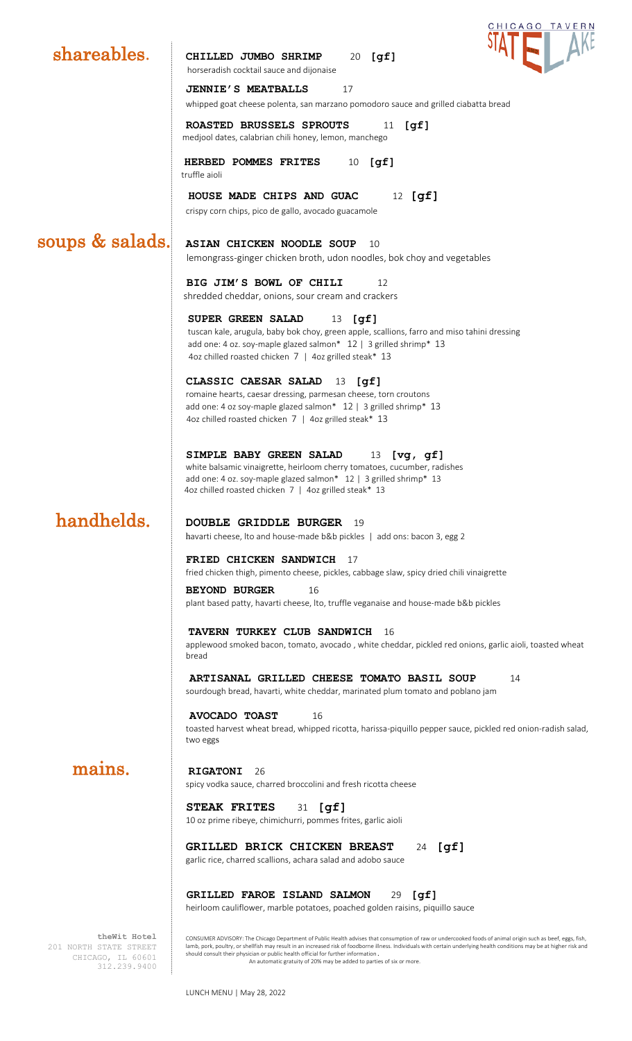

201 NORTH STATE STREET CHICAGO, IL 60601 312.239.9400